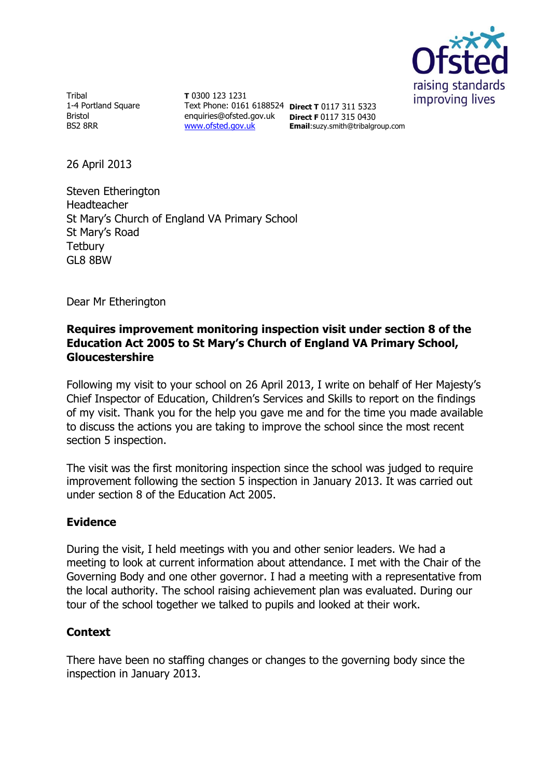

Tribal 1-4 Portland Square Bristol BS2 8RR

**T** 0300 123 1231 Text Phone: 0161 6188524 **Direct T** 0117 311 5323 enquiries@ofsted.gov.uk **Direct F** 0117 315 0430 [www.ofsted.gov.uk](http://www.ofsted.gov.uk/)

**Email**:suzy.smith@tribalgroup.com

26 April 2013

Steven Etherington Headteacher St Mary's Church of England VA Primary School St Mary's Road **Tetbury** GL8 8BW

Dear Mr Etherington

# **Requires improvement monitoring inspection visit under section 8 of the Education Act 2005 to St Mary's Church of England VA Primary School, Gloucestershire**

Following my visit to your school on 26 April 2013, I write on behalf of Her Majesty's Chief Inspector of Education, Children's Services and Skills to report on the findings of my visit. Thank you for the help you gave me and for the time you made available to discuss the actions you are taking to improve the school since the most recent section 5 inspection.

The visit was the first monitoring inspection since the school was judged to require improvement following the section 5 inspection in January 2013. It was carried out under section 8 of the Education Act 2005.

# **Evidence**

During the visit, I held meetings with you and other senior leaders. We had a meeting to look at current information about attendance. I met with the Chair of the Governing Body and one other governor. I had a meeting with a representative from the local authority. The school raising achievement plan was evaluated. During our tour of the school together we talked to pupils and looked at their work.

# **Context**

There have been no staffing changes or changes to the governing body since the inspection in January 2013.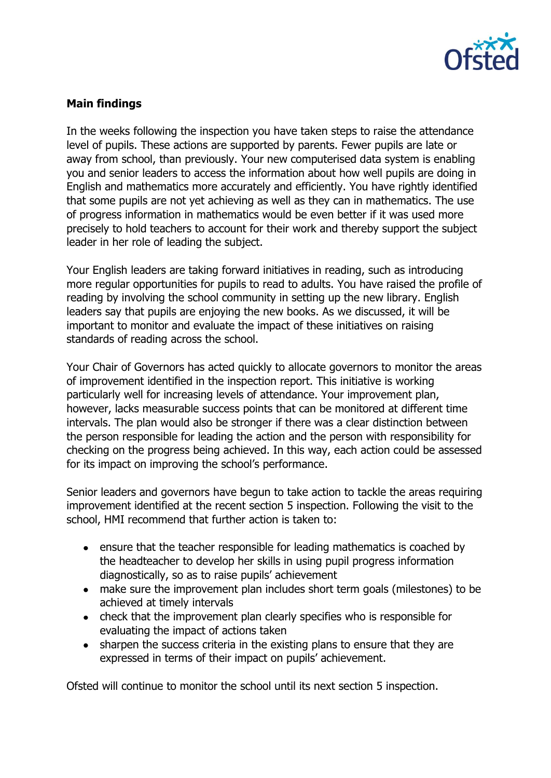

# **Main findings**

In the weeks following the inspection you have taken steps to raise the attendance level of pupils. These actions are supported by parents. Fewer pupils are late or away from school, than previously. Your new computerised data system is enabling you and senior leaders to access the information about how well pupils are doing in English and mathematics more accurately and efficiently. You have rightly identified that some pupils are not yet achieving as well as they can in mathematics. The use of progress information in mathematics would be even better if it was used more precisely to hold teachers to account for their work and thereby support the subject leader in her role of leading the subject.

Your English leaders are taking forward initiatives in reading, such as introducing more regular opportunities for pupils to read to adults. You have raised the profile of reading by involving the school community in setting up the new library. English leaders say that pupils are enjoying the new books. As we discussed, it will be important to monitor and evaluate the impact of these initiatives on raising standards of reading across the school.

Your Chair of Governors has acted quickly to allocate governors to monitor the areas of improvement identified in the inspection report. This initiative is working particularly well for increasing levels of attendance. Your improvement plan, however, lacks measurable success points that can be monitored at different time intervals. The plan would also be stronger if there was a clear distinction between the person responsible for leading the action and the person with responsibility for checking on the progress being achieved. In this way, each action could be assessed for its impact on improving the school's performance.

Senior leaders and governors have begun to take action to tackle the areas requiring improvement identified at the recent section 5 inspection. Following the visit to the school, HMI recommend that further action is taken to:

- ensure that the teacher responsible for leading mathematics is coached by the headteacher to develop her skills in using pupil progress information diagnostically, so as to raise pupils' achievement
- make sure the improvement plan includes short term goals (milestones) to be achieved at timely intervals
- check that the improvement plan clearly specifies who is responsible for evaluating the impact of actions taken
- sharpen the success criteria in the existing plans to ensure that they are expressed in terms of their impact on pupils' achievement.

Ofsted will continue to monitor the school until its next section 5 inspection.